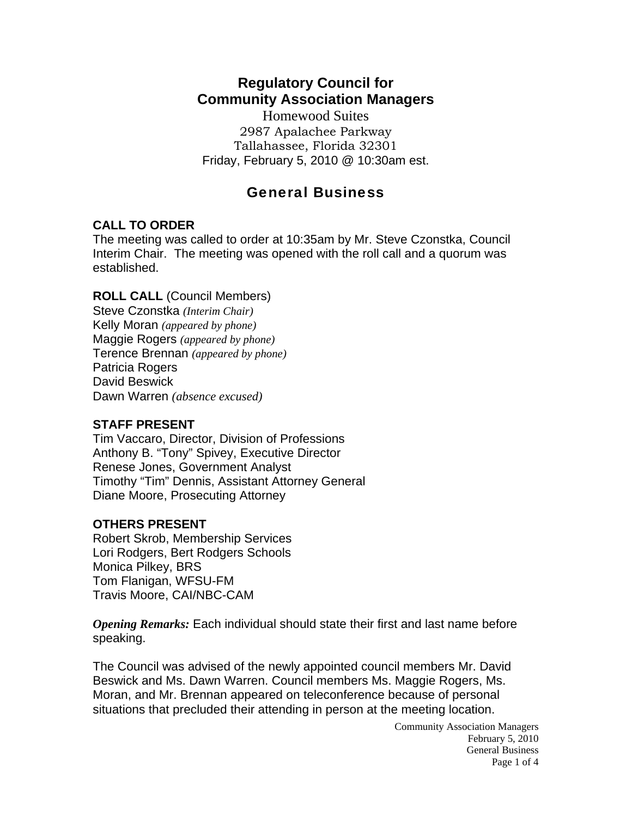# **Regulatory Council for Community Association Managers**

Homewood Suites 2987 Apalachee Parkway Tallahassee, Florida 32301 Friday, February 5, 2010 @ 10:30am est.

## General Business

## **CALL TO ORDER**

The meeting was called to order at 10:35am by Mr. Steve Czonstka, Council Interim Chair. The meeting was opened with the roll call and a quorum was established.

## **ROLL CALL** (Council Members)

Steve Czonstka *(Interim Chair)*  Kelly Moran *(appeared by phone)* Maggie Rogers *(appeared by phone)* Terence Brennan *(appeared by phone)* Patricia Rogers David Beswick Dawn Warren *(absence excused)* 

#### **STAFF PRESENT**

Tim Vaccaro, Director, Division of Professions Anthony B. "Tony" Spivey, Executive Director Renese Jones, Government Analyst Timothy "Tim" Dennis, Assistant Attorney General Diane Moore, Prosecuting Attorney

## **OTHERS PRESENT**

Robert Skrob, Membership Services Lori Rodgers, Bert Rodgers Schools Monica Pilkey, BRS Tom Flanigan, WFSU-FM Travis Moore, CAI/NBC-CAM

*Opening Remarks:* Each individual should state their first and last name before speaking.

The Council was advised of the newly appointed council members Mr. David Beswick and Ms. Dawn Warren. Council members Ms. Maggie Rogers, Ms. Moran, and Mr. Brennan appeared on teleconference because of personal situations that precluded their attending in person at the meeting location.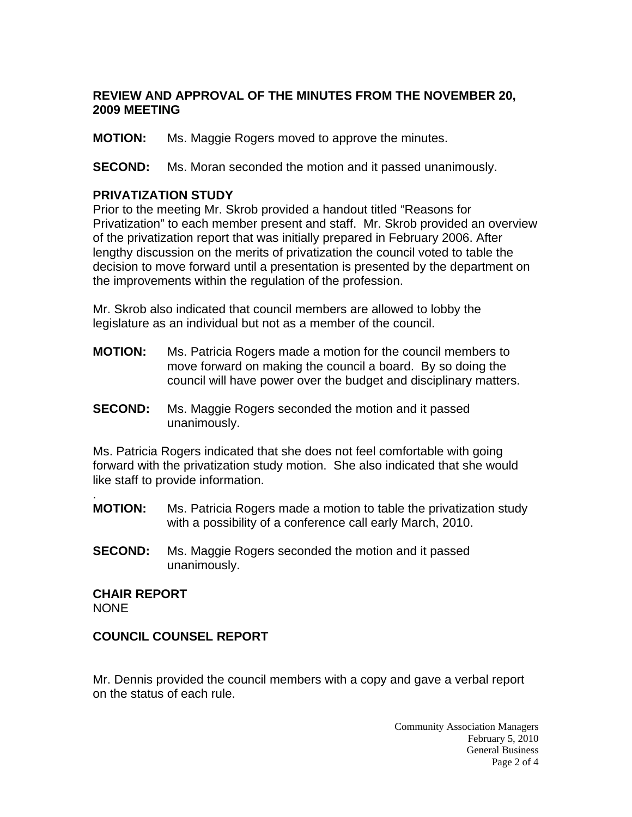## **REVIEW AND APPROVAL OF THE MINUTES FROM THE NOVEMBER 20, 2009 MEETING**

**MOTION:** Ms. Maggie Rogers moved to approve the minutes.

**SECOND:** Ms. Moran seconded the motion and it passed unanimously.

#### **PRIVATIZATION STUDY**

Prior to the meeting Mr. Skrob provided a handout titled "Reasons for Privatization" to each member present and staff. Mr. Skrob provided an overview of the privatization report that was initially prepared in February 2006. After lengthy discussion on the merits of privatization the council voted to table the decision to move forward until a presentation is presented by the department on the improvements within the regulation of the profession.

Mr. Skrob also indicated that council members are allowed to lobby the legislature as an individual but not as a member of the council.

- **MOTION:** Ms. Patricia Rogers made a motion for the council members to move forward on making the council a board. By so doing the council will have power over the budget and disciplinary matters.
- **SECOND:** Ms. Maggie Rogers seconded the motion and it passed unanimously.

Ms. Patricia Rogers indicated that she does not feel comfortable with going forward with the privatization study motion. She also indicated that she would like staff to provide information.

- **MOTION:** Ms. Patricia Rogers made a motion to table the privatization study with a possibility of a conference call early March, 2010.
- **SECOND:** Ms. Maggie Rogers seconded the motion and it passed unanimously.

**CHAIR REPORT**  NONE

.

#### **COUNCIL COUNSEL REPORT**

Mr. Dennis provided the council members with a copy and gave a verbal report on the status of each rule.

> Community Association Managers February 5, 2010 General Business Page 2 of 4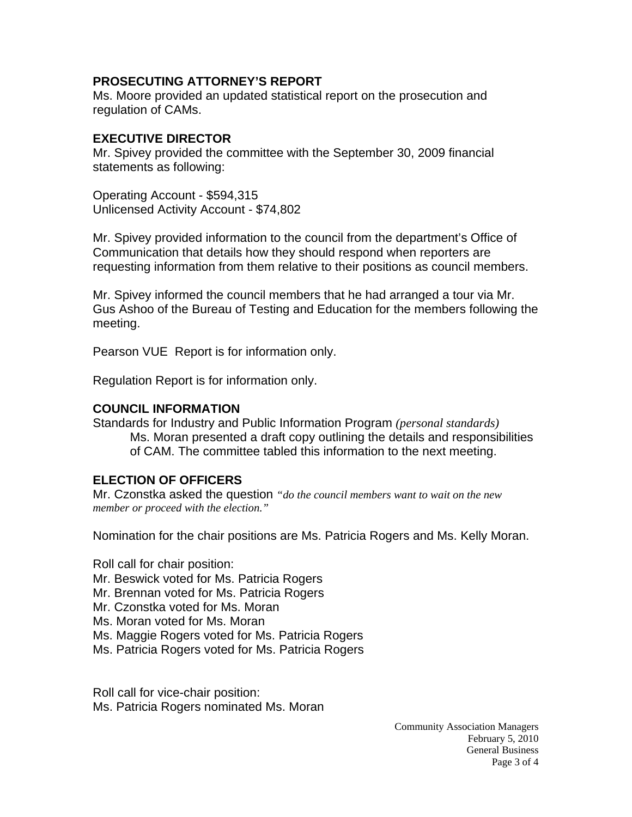#### **PROSECUTING ATTORNEY'S REPORT**

Ms. Moore provided an updated statistical report on the prosecution and regulation of CAMs.

## **EXECUTIVE DIRECTOR**

Mr. Spivey provided the committee with the September 30, 2009 financial statements as following:

Operating Account - \$594,315 Unlicensed Activity Account - \$74,802

Mr. Spivey provided information to the council from the department's Office of Communication that details how they should respond when reporters are requesting information from them relative to their positions as council members.

Mr. Spivey informed the council members that he had arranged a tour via Mr. Gus Ashoo of the Bureau of Testing and Education for the members following the meeting.

Pearson VUE Report is for information only.

Regulation Report is for information only.

## **COUNCIL INFORMATION**

Standards for Industry and Public Information Program *(personal standards)*  Ms. Moran presented a draft copy outlining the details and responsibilities of CAM. The committee tabled this information to the next meeting.

## **ELECTION OF OFFICERS**

Mr. Czonstka asked the question *"do the council members want to wait on the new member or proceed with the election."*

Nomination for the chair positions are Ms. Patricia Rogers and Ms. Kelly Moran.

Roll call for chair position:

- Mr. Beswick voted for Ms. Patricia Rogers
- Mr. Brennan voted for Ms. Patricia Rogers
- Mr. Czonstka voted for Ms. Moran
- Ms. Moran voted for Ms. Moran
- Ms. Maggie Rogers voted for Ms. Patricia Rogers
- Ms. Patricia Rogers voted for Ms. Patricia Rogers

Roll call for vice-chair position: Ms. Patricia Rogers nominated Ms. Moran

> Community Association Managers February 5, 2010 General Business Page 3 of 4